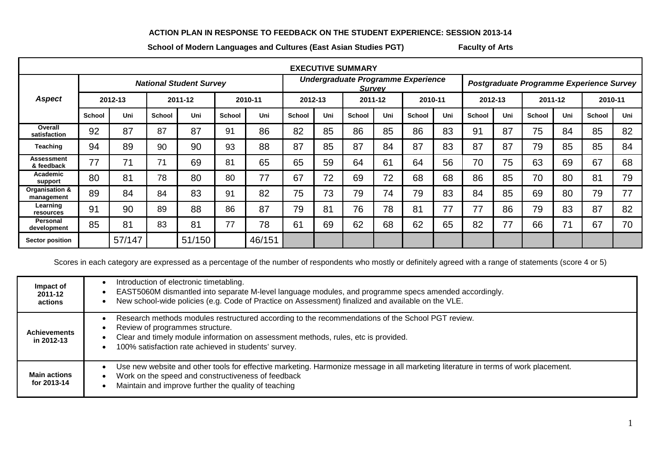## **ACTION PLAN IN RESPONSE TO FEEDBACK ON THE STUDENT EXPERIENCE: SESSION 2013-14**

School of Modern Languages and Cultures (East Asian Studies PGT) Faculty of Arts

| <b>EXECUTIVE SUMMARY</b>     |                                |        |               |        |               |        |                                                     |     |               |     |               |     |                                          |     |               |     |               |     |
|------------------------------|--------------------------------|--------|---------------|--------|---------------|--------|-----------------------------------------------------|-----|---------------|-----|---------------|-----|------------------------------------------|-----|---------------|-----|---------------|-----|
|                              | <b>National Student Survey</b> |        |               |        |               |        | Undergraduate Programme Experience<br><b>Survey</b> |     |               |     |               |     | Postgraduate Programme Experience Survey |     |               |     |               |     |
| <b>Aspect</b>                | 2012-13                        |        | 2011-12       |        | 2010-11       |        | 2012-13                                             |     | 2011-12       |     | 2010-11       |     | 2012-13                                  |     | 2011-12       |     | 2010-11       |     |
|                              | <b>School</b>                  | Uni    | <b>School</b> | Uni    | <b>School</b> | Uni    | <b>School</b>                                       | Uni | <b>School</b> | Uni | <b>School</b> | Uni | <b>School</b>                            | Uni | <b>School</b> | Uni | <b>School</b> | Uni |
| Overall<br>satisfaction      | 92                             | 87     | 87            | 87     | 91            | 86     | 82                                                  | 85  | 86            | 85  | 86            | 83  | 91                                       | 87  | 75            | 84  | 85            | 82  |
| Teaching                     | 94                             | 89     | 90            | 90     | 93            | 88     | 87                                                  | 85  | 87            | 84  | 87            | 83  | 87                                       | 87  | 79            | 85  | 85            | 84  |
| Assessment<br>& feedback     | 77                             | 71     | 71            | 69     | 81            | 65     | 65                                                  | 59  | 64            | 61  | 64            | 56  | 70                                       | 75  | 63            | 69  | 67            | 68  |
| Academic<br>support          | 80                             | 81     | 78            | 80     | 80            | 77     | 67                                                  | 72  | 69            | 72  | 68            | 68  | 86                                       | 85  | 70            | 80  | 81            | 79  |
| Organisation &<br>management | 89                             | 84     | 84            | 83     | 91            | 82     | 75                                                  | 73  | 79            | 74  | 79            | 83  | 84                                       | 85  | 69            | 80  | 79            | 77  |
| Learning<br>resources        | 91                             | 90     | 89            | 88     | 86            | 87     | 79                                                  | 81  | 76            | 78  | 81            | 77  | 77                                       | 86  | 79            | 83  | 87            | 82  |
| Personal<br>development      | 85                             | 81     | 83            | 81     | 77            | 78     | 61                                                  | 69  | 62            | 68  | 62            | 65  | 82                                       | 77  | 66            | 71  | 67            | 70  |
| <b>Sector position</b>       |                                | 57/147 |               | 51/150 |               | 46/151 |                                                     |     |               |     |               |     |                                          |     |               |     |               |     |

Scores in each category are expressed as a percentage of the number of respondents who mostly or definitely agreed with a range of statements (score 4 or 5)

| Impact of<br>2011-12<br>actions    | Introduction of electronic timetabling.<br>EAST5060M dismantled into separate M-level language modules, and programme specs amended accordingly.<br>New school-wide policies (e.g. Code of Practice on Assessment) finalized and available on the VLE.                            |
|------------------------------------|-----------------------------------------------------------------------------------------------------------------------------------------------------------------------------------------------------------------------------------------------------------------------------------|
| <b>Achievements</b><br>in 2012-13  | Research methods modules restructured according to the recommendations of the School PGT review.<br>Review of programmes structure.<br>Clear and timely module information on assessment methods, rules, etc is provided.<br>100% satisfaction rate achieved in students' survey. |
| <b>Main actions</b><br>for 2013-14 | Use new website and other tools for effective marketing. Harmonize message in all marketing literature in terms of work placement.<br>Work on the speed and constructiveness of feedback<br>$\bullet$<br>Maintain and improve further the quality of teaching                     |